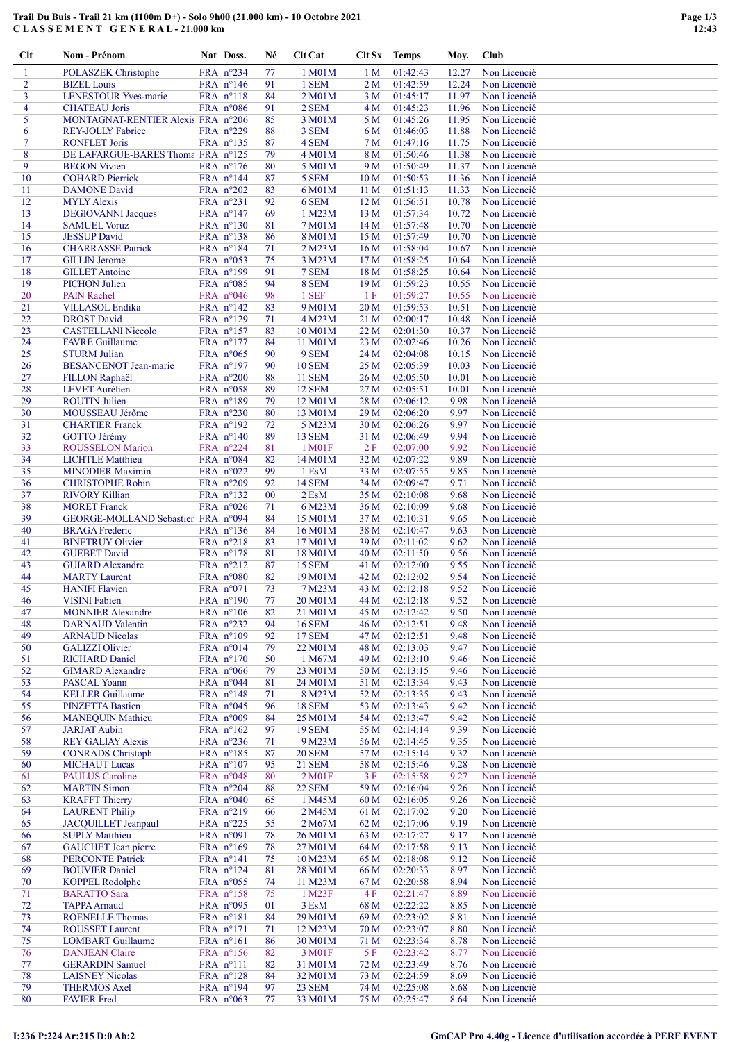## Trail Du Buis - Trail 21 km (1100m D+) - Solo 9h00 (21.000 km) - 10 Octobre 2021 C L A S S E M E N T G E N E R A L - 21.000 km

| Clt            | Nom - Prénom                                              | Nat Doss.                                | Né       | Clt Cat                 | Clt Sx                | <b>Temps</b>         | Moy.           | Club                         |
|----------------|-----------------------------------------------------------|------------------------------------------|----------|-------------------------|-----------------------|----------------------|----------------|------------------------------|
| $\mathbf{1}$   | <b>POLASZEK Christophe</b>                                | FRA nº234                                | 77       | 1 M01M                  | 1 <sub>M</sub>        | 01:42:43             | 12.27          | Non Licencié                 |
| $\overline{2}$ | <b>BIZEL</b> Louis                                        | FRA nº146                                | 91       | 1 SEM                   | 2 <sub>M</sub>        | 01:42:59             | 12.24          | Non Licencié                 |
| 3              | <b>LENESTOUR Yves-marie</b>                               | FRA n°118                                | 84       | 2 M01M                  | 3 <sub>M</sub>        | 01:45:17             | 11.97          | Non Licencié                 |
| 4              | <b>CHATEAU</b> Joris                                      | FRA $n°086$                              | 91       | 2 SEM                   | 4 M                   | 01:45:23             | 11.96          | Non Licencié                 |
| 5              | MONTAGNAT-RENTIER Alexis FRA n°206                        |                                          | 85       | 3 M01M                  | 5 M                   | 01:45:26             | 11.95          | Non Licencié                 |
| 6<br>$\tau$    | <b>REY-JOLLY Fabrice</b><br><b>RONFLET Joris</b>          | FRA $n^{\circ}229$<br>FRA nº135          | 88<br>87 | 3 SEM<br>4 SEM          | 6 M<br>7 <sub>M</sub> | 01:46:03<br>01:47:16 | 11.88<br>11.75 | Non Licencié<br>Non Licencié |
| 8              | DE LAFARGUE-BARES Thoma FRA nº125                         |                                          | 79       | 4 M01M                  | 8 M                   | 01:50:46             | 11.38          | Non Licencié                 |
| 9              | <b>BEGON</b> Vivien                                       | FRA $n^{\circ}176$                       | 80       | 5 M01M                  | 9 M                   | 01:50:49             | 11.37          | Non Licencié                 |
| 10             | <b>COHARD Pierrick</b>                                    | FRA n°144                                | 87       | 5 SEM                   | 10 <sub>M</sub>       | 01:50:53             | 11.36          | Non Licencié                 |
| 11             | <b>DAMONE</b> David                                       | FRA n°202                                | 83       | 6 M01M                  | 11 <sub>M</sub>       | 01:51:13             | 11.33          | Non Licencié                 |
| 12             | <b>MYLY Alexis</b>                                        | FRA n°231                                | 92       | 6 SEM                   | 12M                   | 01:56:51             | 10.78          | Non Licencié                 |
| 13             | <b>DEGIOVANNI Jacques</b>                                 | FRA $n^{\circ}147$                       | 69       | 1 M23M                  | 13 M                  | 01:57:34             | 10.72          | Non Licencié                 |
| 14<br>15       | <b>SAMUEL Voruz</b><br><b>JESSUP</b> David                | FRA n°130<br>FRA n°138                   | 81<br>86 | 7 M01M<br>8 M01M        | 14 M<br>15 M          | 01:57:48<br>01:57:49 | 10.70<br>10.70 | Non Licencié<br>Non Licencié |
| 16             | <b>CHARRASSE Patrick</b>                                  | FRA $n^{\circ}184$                       | 71       | 2 M23M                  | 16 <sub>M</sub>       | 01:58:04             | 10.67          | Non Licencié                 |
| 17             | <b>GILLIN</b> Jerome                                      | FRA n°053                                | 75       | 3 M23M                  | 17 <sub>M</sub>       | 01:58:25             | 10.64          | Non Licencié                 |
| 18             | <b>GILLET</b> Antoine                                     | FRA n°199                                | 91       | 7 SEM                   | 18 <sub>M</sub>       | 01:58:25             | 10.64          | Non Licencié                 |
| 19             | <b>PICHON Julien</b>                                      | FRA n°085                                | 94       | 8 SEM                   | 19 <sub>M</sub>       | 01:59:23             | 10.55          | Non Licencié                 |
| 20             | <b>PAIN Rachel</b>                                        | FRA $n°046$                              | 98       | 1 SEF                   | 1F                    | 01:59:27             | 10.55          | Non Licencié                 |
| 21<br>22       | <b>VILLASOL</b> Endika<br><b>DROST David</b>              | FRA $n^{\circ}142$<br>FRA n°129          | 83<br>71 | 9 M01M                  | 20 <sub>M</sub>       | 01:59:53<br>02:00:17 | 10.51<br>10.48 | Non Licencié<br>Non Licencié |
| 23             | <b>CASTELLANI Niccolo</b>                                 | FRA n°157                                | 83       | 4 M23M<br>10 M01M       | 21 M<br>22 M          | 02:01:30             | 10.37          | Non Licencié                 |
| 24             | <b>FAVRE</b> Guillaume                                    | FRA $n^{\circ}177$                       | 84       | 11 M01M                 | 23 M                  | 02:02:46             | 10.26          | Non Licencié                 |
| 25             | <b>STURM Julian</b>                                       | FRA $n°065$                              | 90       | 9 SEM                   | 24 M                  | 02:04:08             | 10.15          | Non Licencié                 |
| 26             | <b>BESANCENOT Jean-marie</b>                              | FRA n°197                                | 90       | <b>10 SEM</b>           | 25 M                  | 02:05:39             | 10.03          | Non Licencié                 |
| 27             | <b>FILLON Raphaël</b>                                     | FRA n°200                                | 88       | <b>11 SEM</b>           | 26 M                  | 02:05:50             | 10.01          | Non Licencié                 |
| 28             | <b>LEVET</b> Aurélien                                     | FRA n°058                                | 89       | <b>12 SEM</b>           | 27 <sub>M</sub>       | 02:05:51             | 10.01          | Non Licencié                 |
| 29             | <b>ROUTIN Julien</b>                                      | FRA n°189                                | 79       | 12 M01M                 | 28 M                  | 02:06:12             | 9.98           | Non Licencié                 |
| 30<br>31       | MOUSSEAU Jérôme<br><b>CHARTIER Franck</b>                 | FRA n°230<br>FRA n°192                   | 80<br>72 | 13 M01M<br>5 M23M       | 29 M<br>30 M          | 02:06:20<br>02:06:26 | 9.97<br>9.97   | Non Licencié<br>Non Licencié |
| 32             | GOTTO Jérémy                                              | FRA n°140                                | 89       | <b>13 SEM</b>           | 31 M                  | 02:06:49             | 9.94           | Non Licencié                 |
| 33             | <b>ROUSSELON Marion</b>                                   | FRA n°224                                | 81       | 1 M01F                  | 2F                    | 02:07:00             | 9.92           | Non Licencié                 |
| 34             | <b>LICHTLE Matthieu</b>                                   | FRA n°084                                | 82       | 14 M <sub>0</sub> 1M    | 32 M                  | 02:07:22             | 9.89           | Non Licencié                 |
| 35             | <b>MINODIER Maximin</b>                                   | FRA $n°022$                              | 99       | 1 EsM                   | 33 M                  | 02:07:55             | 9.85           | Non Licencié                 |
| 36             | <b>CHRISTOPHE Robin</b>                                   | FRA n°209                                | 92       | <b>14 SEM</b>           | 34 M                  | 02:09:47             | 9.71           | Non Licencié                 |
| 37             | <b>RIVORY Killian</b>                                     | FRA nº132                                | 00       | 2 EsM                   | 35 M                  | 02:10:08             | 9.68           | Non Licencié                 |
| 38<br>39       | <b>MORET</b> Franck<br>GEORGE-MOLLAND Sebastier FRA n°094 | FRA $n°026$                              | 71<br>84 | 6 M23M<br>15 M01M       | 36 M<br>37 M          | 02:10:09<br>02:10:31 | 9.68<br>9.65   | Non Licencié<br>Non Licencié |
| 40             | <b>BRAGA</b> Frederic                                     | FRA $n^{\circ}$ 136                      | 84       | 16 M01M                 | 38 M                  | 02:10:47             | 9.63           | Non Licencié                 |
| 41             | <b>BINETRUY Olivier</b>                                   | FRA n°218                                | 83       | 17 M01M                 | 39 M                  | 02:11:02             | 9.62           | Non Licencié                 |
| 42             | <b>GUEBET David</b>                                       | FRA n°178                                | 81       | 18 M01M                 | 40 M                  | 02:11:50             | 9.56           | Non Licencié                 |
| 43             | <b>GUIARD Alexandre</b>                                   | FRA $n^{\circ}212$                       | 87       | <b>15 SEM</b>           | 41 M                  | 02:12:00             | 9.55           | Non Licencié                 |
| 44             | <b>MARTY</b> Laurent                                      | FRA n°080                                | 82       | 19 M01M                 | 42 M                  | 02:12:02             | 9.54           | Non Licencié                 |
| 45             | <b>HANIFI Flavien</b>                                     | FRA $n^{\circ}071$                       | 73       | 7 M23M                  | 43 M                  | 02:12:18             | 9.52           | Non Licencié                 |
| 46<br>47       | <b>VISINI Fabien</b><br><b>MONNIER Alexandre</b>          | FRA n°190<br>FRA $n^{\circ}106$          | 77<br>82 | 20 M01M<br>21 M01M      | 44 M<br>45 M          | 02:12:18<br>02:12:42 | 9.52<br>9.50   | Non Licencié<br>Non Licencié |
| 48             | <b>DARNAUD</b> Valentin                                   | FRA n°232                                | 94       | <b>16 SEM</b>           | 46 M                  | 02:12:51             | 9.48           | Non Licencié                 |
| 49             | <b>ARNAUD Nicolas</b>                                     | FRA $n^{\circ}109$                       | 92       | <b>17 SEM</b>           | 47 M                  | 02:12:51             | 9.48           | Non Licencié                 |
| 50             | <b>GALIZZI Olivier</b>                                    | FRA $n^{\circ}014$                       | 79       | 22 M01M                 | 48 M                  | 02:13:03             | 9.47           | Non Licencié                 |
| 51             | <b>RICHARD Daniel</b>                                     | FRA $n^{\circ}170$                       | 50       | 1 M67M                  | 49 M                  | 02:13:10             | 9.46           | Non Licencié                 |
| 52             | <b>GIMARD</b> Alexandre                                   | FRA $n^{\circ}066$                       | 79       | 23 M01M                 | 50 M                  | 02:13:15             | 9.46           | Non Licencié                 |
| 53             | <b>PASCAL Yoann</b>                                       | FRA $n^{\circ}044$                       | 81       | 24 M01M<br>8 M23M       | 51 M                  | 02:13:34             | 9.43           | Non Licencié                 |
| 54<br>55       | <b>KELLER</b> Guillaume<br><b>PINZETTA Bastien</b>        | FRA $n^{\circ}148$<br>FRA $n^{\circ}045$ | 71<br>96 | <b>18 SEM</b>           | 52 M<br>53 M          | 02:13:35<br>02:13:43 | 9.43<br>9.42   | Non Licencié<br>Non Licencié |
| 56             | <b>MANEQUIN Mathieu</b>                                   | FRA $n°009$                              | 84       | 25 M01M                 | 54 M                  | 02:13:47             | 9.42           | Non Licencié                 |
| 57             | <b>JARJAT Aubin</b>                                       | FRA nº162                                | 97       | <b>19 SEM</b>           | 55 M                  | 02:14:14             | 9.39           | Non Licencié                 |
| 58             | <b>REY GALIAY Alexis</b>                                  | FRA $n^{\circ}236$                       | 71       | 9 M23M                  | 56 M                  | 02:14:45             | 9.35           | Non Licencié                 |
| 59             | <b>CONRADS</b> Christoph                                  | FRA $n^{\circ}185$                       | 87       | <b>20 SEM</b>           | 57 M                  | 02:15:14             | 9.32           | Non Licencié                 |
| 60             | <b>MICHAUT Lucas</b>                                      | FRA $n^{\circ}107$                       | 95       | <b>21 SEM</b>           | 58 M                  | 02:15:46             | 9.28           | Non Licencié                 |
| 61             | <b>PAULUS</b> Caroline                                    | FRA $n^{\circ}048$                       | 80       | 2 M01F                  | 3F                    | 02:15:58             | 9.27           | Non Licencié                 |
| 62<br>63       | <b>MARTIN Simon</b><br><b>KRAFFT Thierry</b>              | FRA n°204<br>FRA $n^{\circ}040$          | 88<br>65 | <b>22 SEM</b><br>1 M45M | 59 M<br>60 M          | 02:16:04<br>02:16:05 | 9.26<br>9.26   | Non Licencié<br>Non Licencié |
| 64             | <b>LAURENT Philip</b>                                     | FRA n°219                                | 66       | 2 M45M                  | 61 M                  | 02:17:02             | 9.20           | Non Licencié                 |
| 65             | <b>JACQUILLET</b> Jeanpaul                                | FRA $n^{\circ}225$                       | 55       | 2 M67M                  | 62 M                  | 02:17:06             | 9.19           | Non Licencié                 |
| 66             | <b>SUPLY Matthieu</b>                                     | FRA $n°091$                              | 78       | 26 M01M                 | 63 M                  | 02:17:27             | 9.17           | Non Licencié                 |
| 67             | <b>GAUCHET</b> Jean pierre                                | FRA $n^{\circ}169$                       | 78       | 27 M01M                 | 64 M                  | 02:17:58             | 9.13           | Non Licencié                 |
| 68             | <b>PERCONTE Patrick</b>                                   | FRA $n^{\circ}141$                       | 75       | 10 M23M                 | 65 M                  | 02:18:08             | 9.12           | Non Licencié                 |
| 69<br>70       | <b>BOUVIER Daniel</b>                                     | FRA $n^{\circ}124$                       | 81       | 28 M01M<br>11 M23M      | 66 M                  | 02:20:33<br>02:20:58 | 8.97<br>8.94   | Non Licencié<br>Non Licencié |
| 71             | <b>KOPPEL Rodolphe</b><br><b>BARATTO Sara</b>             | FRA $n^{\circ}055$<br>FRA nº158          | 74<br>75 | 1 M23F                  | 67 M<br>4 F           | 02:21:47             | 8.89           | Non Licencié                 |
| 72             | <b>TAPPA Arnaud</b>                                       | FRA $n°095$                              | 01       | $3$ EsM                 | 68 M                  | 02:22:22             | 8.85           | Non Licencié                 |
| 73             | <b>ROENELLE Thomas</b>                                    | FRA n°181                                | 84       | 29 M01M                 | 69 M                  | 02:23:02             | 8.81           | Non Licencié                 |
| 74             | <b>ROUSSET Laurent</b>                                    | FRA $n^{\circ}171$                       | 71       | 12 M23M                 | 70 M                  | 02:23:07             | 8.80           | Non Licencié                 |
| 75             | <b>LOMBART</b> Guillaume                                  | FRA $n^{\circ}161$                       | 86       | 30 M01M                 | 71 M                  | 02:23:34             | 8.78           | Non Licencié                 |
| 76             | <b>DANJEAN</b> Claire                                     | FRA n°156                                | 82       | 3 M01F                  | 5F                    | 02:23:42             | 8.77           | Non Licencié                 |
| 77             | <b>GERARDIN Samuel</b>                                    | $FRA$ n°111                              | 82       | 31 M01M                 | 72 M                  | 02:23:49             | 8.76           | Non Licencié                 |
| 78<br>79       | <b>LAISNEY Nicolas</b><br><b>THERMOS Axel</b>             | FRA $n^{\circ}128$<br>FRA $n^{\circ}194$ | 84<br>97 | 32 M01M<br>23 SEM       | 73 M<br>74 M          | 02:24:59<br>02:25:08 | 8.69<br>8.68   | Non Licencié<br>Non Licencié |
| 80             | <b>FAVIER Fred</b>                                        | FRA $n^{\circ}063$                       | 77       | 33 M01M                 | 75 M                  | 02:25:47             | 8.64           | Non Licencié                 |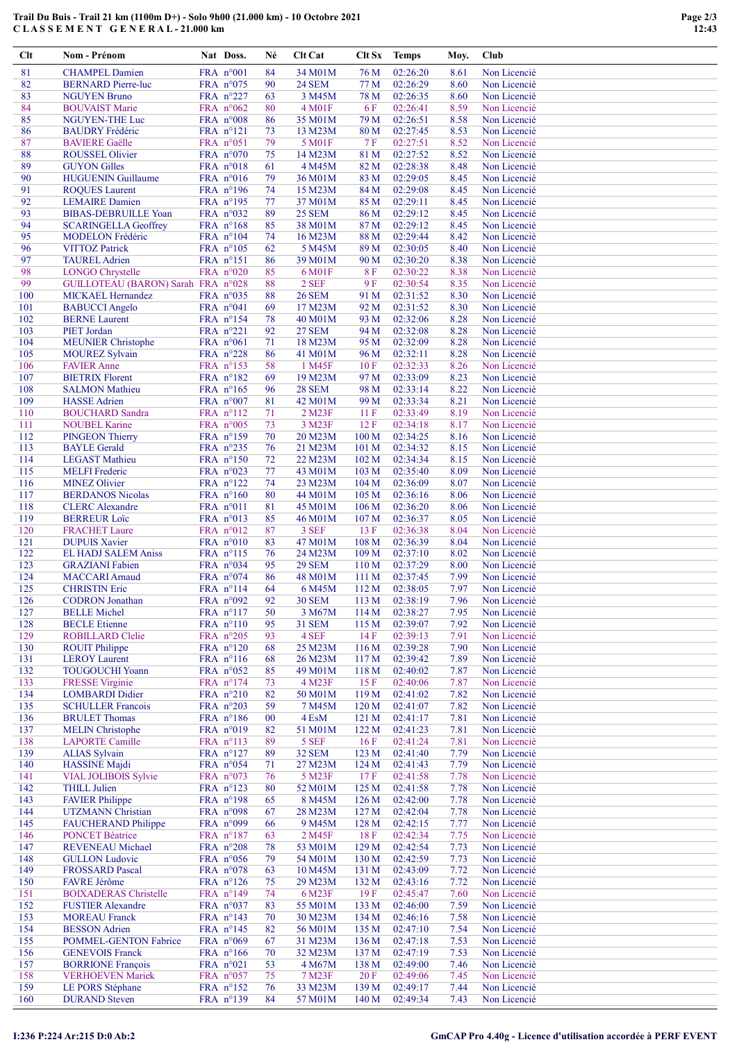## Trail Du Buis - Trail 21 km (1100m D+) - Solo 9h00 (21.000 km) - 10 Octobre 2021 C L A S S E M E N T G E N E R A L - 21.000 km

| Clt        | Nom - Prénom                                                  | Nat Doss.                         | Né       | Clt Cat                  | Clt Sx                    | <b>Temps</b>         | Moy.         | Club                         |
|------------|---------------------------------------------------------------|-----------------------------------|----------|--------------------------|---------------------------|----------------------|--------------|------------------------------|
| 81         | <b>CHAMPEL Damien</b>                                         | FRA $n°001$                       | 84       | 34 M01M                  | 76 M                      | 02:26:20             | 8.61         | Non Licencié                 |
| 82         | <b>BERNARD Pierre-luc</b>                                     | FRA n°075                         | 90       | <b>24 SEM</b>            | 77 M                      | 02:26:29             | 8.60         | Non Licencié                 |
| 83         | <b>NGUYEN Bruno</b>                                           | FRA $n^{\circ}227$                | 63       | 3 M45M                   | 78 M                      | 02:26:35             | 8.60         | Non Licencié                 |
| 84<br>85   | <b>BOUVAIST Marie</b>                                         | FRA $n^{\circ}062$<br>FRA $n°008$ | 80<br>86 | 4 M01F<br>35 M01M        | 6 F<br>79 M               | 02:26:41<br>02:26:51 | 8.59<br>8.58 | Non Licencié<br>Non Licencié |
| 86         | <b>NGUYEN-THE Luc</b><br><b>BAUDRY</b> Frédéric               | FRA $n^{\circ}121$                | 73       | 13 M23M                  | 80 M                      | 02:27:45             | 8.53         | Non Licencié                 |
| 87         | <b>BAVIERE Gaëlle</b>                                         | FRA n°051                         | 79       | 5 M01F                   | 7F                        | 02:27:51             | 8.52         | Non Licencié                 |
| 88         | <b>ROUSSEL Olivier</b>                                        | FRA $n^{\circ}070$                | 75       | 14 M23M                  | 81 M                      | 02:27:52             | 8.52         | Non Licencié                 |
| 89         | <b>GUYON Gilles</b>                                           | FRA $n^{\circ}018$                | 61       | 4 M45M                   | 82 M                      | 02:28:38             | 8.48         | Non Licencié                 |
| 90         | <b>HUGUENIN Guillaume</b>                                     | FRA $n°016$                       | 79       | 36 M01M                  | 83 M                      | 02:29:05             | 8.45         | Non Licencié                 |
| 91         | <b>ROQUES</b> Laurent                                         | FRA n°196                         | 74       | 15 M23M                  | 84 M                      | 02:29:08             | 8.45         | Non Licencié                 |
| 92<br>93   | <b>LEMAIRE</b> Damien<br><b>BIBAS-DEBRUILLE Yoan</b>          | FRA n°195<br>FRA $n^{\circ}032$   | 77<br>89 | 37 M01M<br><b>25 SEM</b> | 85 M<br>86 M              | 02:29:11<br>02:29:12 | 8.45<br>8.45 | Non Licencié<br>Non Licencié |
| 94         | <b>SCARINGELLA Geoffrey</b>                                   | FRA n°168                         | 85       | 38 M01M                  | 87 M                      | 02:29:12             | 8.45         | Non Licencié                 |
| 95         | <b>MODELON</b> Frédéric                                       | FRA $n^{\circ}104$                | 74       | 16 M23M                  | 88 M                      | 02:29:44             | 8.42         | Non Licencié                 |
| 96         | <b>VITTOZ Patrick</b>                                         | FRA $n^{\circ}105$                | 62       | 5 M45M                   | 89 M                      | 02:30:05             | 8.40         | Non Licencié                 |
| 97         | <b>TAUREL Adrien</b>                                          | FRA nº151                         | 86       | 39 M01M                  | 90 M                      | 02:30:20             | 8.38         | Non Licencié                 |
| 98<br>99   | <b>LONGO Chrystelle</b><br>GUILLOTEAU (BARON) Sarah FRA n°028 | FRA $n°020$                       | 85<br>88 | 6 M01F<br>2 SEF          | <b>8F</b><br>9 F          | 02:30:22<br>02:30:54 | 8.38<br>8.35 | Non Licencié<br>Non Licencié |
| 100        | <b>MICKAEL Hernandez</b>                                      | FRA $n^{\circ}035$                | 88       | <b>26 SEM</b>            | 91 M                      | 02:31:52             | 8.30         | Non Licencié                 |
| 101        | <b>BABUCCI</b> Angelo                                         | FRA $n^{\circ}041$                | 69       | 17 M23M                  | 92 M                      | 02:31:52             | 8.30         | Non Licencié                 |
| 102        | <b>BERNE Laurent</b>                                          | FRA n°154                         | 78       | 40 M01M                  | 93 M                      | 02:32:06             | 8.28         | Non Licencié                 |
| 103        | <b>PIET Jordan</b>                                            | FRA $n^{\circ}221$                | 92       | <b>27 SEM</b>            | 94 M                      | 02:32:08             | 8.28         | Non Licencié                 |
| 104        | <b>MEUNIER Christophe</b>                                     | FRA $n^{\circ}061$                | 71       | 18 M23M                  | 95 M                      | 02:32:09             | 8.28         | Non Licencié                 |
| 105        | <b>MOUREZ Sylvain</b>                                         | FRA $n^{\circ}228$                | 86       | 41 M01M                  | 96 M                      | 02:32:11             | 8.28         | Non Licencié                 |
| 106<br>107 | <b>FAVIER Anne</b><br><b>BIETRIX Florent</b>                  | FRA $n^{\circ}153$<br>FRA n°182   | 58<br>69 | 1 M45F<br>19 M23M        | 10F<br>97 M               | 02:32:33<br>02:33:09 | 8.26<br>8.23 | Non Licencié<br>Non Licencié |
| 108        | <b>SALMON Mathieu</b>                                         | FRA $n^{\circ}165$                | 96       | <b>28 SEM</b>            | 98 M                      | 02:33:14             | 8.22         | Non Licencié                 |
| 109        | <b>HASSE</b> Adrien                                           | FRA $n^{\circ}007$                | 81       | 42 M01M                  | 99 M                      | 02:33:34             | 8.21         | Non Licencié                 |
| 110        | <b>BOUCHARD</b> Sandra                                        | FRA n°112                         | 71       | 2 M23F                   | 11F                       | 02:33:49             | 8.19         | Non Licencié                 |
| 111        | <b>NOUBEL Karine</b>                                          | FRA n°005                         | 73       | 3 M23F                   | 12F                       | 02:34:18             | 8.17         | Non Licencié                 |
| 112        | <b>PINGEON Thierry</b>                                        | FRA $n^{\circ}159$                | 70       | 20 M23M                  | 100 <sub>M</sub>          | 02:34:25             | 8.16         | Non Licencié                 |
| 113        | <b>BAYLE</b> Gerald                                           | FRA $n^{\circ}235$                | 76       | 21 M23M                  | 101 M                     | 02:34:32             | 8.15         | Non Licencié                 |
| 114<br>115 | <b>LEGAST Mathieu</b><br><b>MELFI</b> Frederic                | FRA $n^{\circ}150$<br>FRA $n°023$ | 72<br>77 | 22 M23M<br>43 M01M       | 102 <sub>M</sub><br>103 M | 02:34:34<br>02:35:40 | 8.15<br>8.09 | Non Licencié<br>Non Licencié |
| 116        | <b>MINEZ Olivier</b>                                          | FRA $n^{\circ}122$                | 74       | 23 M23M                  | 104 M                     | 02:36:09             | 8.07         | Non Licencié                 |
| 117        | <b>BERDANOS Nicolas</b>                                       | FRA $n^{\circ}160$                | 80       | 44 M01M                  | 105 <sub>M</sub>          | 02:36:16             | 8.06         | Non Licencié                 |
| 118        | <b>CLERC</b> Alexandre                                        | FRA $n^{\circ}011$                | 81       | 45 M01M                  | 106 <sub>M</sub>          | 02:36:20             | 8.06         | Non Licencié                 |
| 119        | <b>BERREUR Loïc</b>                                           | FRA $n^{\circ}013$                | 85       | 46 M01M                  | 107 <sub>M</sub>          | 02:36:37             | 8.05         | Non Licencié                 |
| 120        | <b>FRACHET Laure</b>                                          | FRA n°012                         | 87       | 3 SEF                    | 13F                       | 02:36:38             | 8.04         | Non Licencié                 |
| 121<br>122 | <b>DUPUIS Xavier</b><br><b>EL HADJ SALEM Aniss</b>            | FRA $n°010$<br>FRA nº115          | 83<br>76 | 47 M01M<br>24 M23M       | 108 M<br>109 M            | 02:36:39<br>02:37:10 | 8.04<br>8.02 | Non Licencié<br>Non Licencié |
| 123        | <b>GRAZIANI</b> Fabien                                        | FRA $n°034$                       | 95       | <b>29 SEM</b>            | 110 <sub>M</sub>          | 02:37:29             | 8.00         | Non Licencié                 |
| 124        | <b>MACCARI</b> Arnaud                                         | FRA $n°074$                       | 86       | 48 M01M                  | 111 <sub>M</sub>          | 02:37:45             | 7.99         | Non Licencié                 |
| 125        | <b>CHRISTIN Eric</b>                                          | FRA n°114                         | 64       | 6 M45M                   | 112 M                     | 02:38:05             | 7.97         | Non Licencié                 |
| 126        | <b>CODRON</b> Jonathan                                        | FRA n°092                         | 92       | <b>30 SEM</b>            | 113M                      | 02:38:19             | 7.96         | Non Licencié                 |
| 127        | <b>BELLE Michel</b>                                           | FRA n°117                         | 50       | 3 M67M                   | 114 M                     | 02:38:27             | 7.95         | Non Licencié                 |
| 128<br>129 | <b>BECLE</b> Etienne<br><b>ROBILLARD Clelie</b>               | FRA $n^{\circ}110$<br>FRA n°205   | 95<br>93 | <b>31 SEM</b><br>4 SEF   | 115 M<br>14 F             | 02:39:07<br>02:39:13 | 7.92<br>7.91 | Non Licencié<br>Non Licencié |
| 130        | <b>ROUIT Philippe</b>                                         | FRA n°120                         | 68       | 25 M23M                  | 116M                      | 02:39:28             | 7.90         | Non Licencié                 |
| 131        | <b>LEROY</b> Laurent                                          | FRA $n^{\circ}116$                | 68       | 26 M23M                  | 117 <sub>M</sub>          | 02:39:42             | 7.89         | Non Licencié                 |
| 132        | <b>TOUGOUCHI Yoann</b>                                        | FRA n°052                         | 85       | 49 M01M                  | 118 M                     | 02:40:02             | 7.87         | Non Licencié                 |
| 133        | <b>FRESSE Virginie</b>                                        | FRA nº174                         | 73       | 4 M23F                   | 15F                       | 02:40:06             | 7.87         | Non Licencié                 |
| 134        | <b>LOMBARDI</b> Didier                                        | FRA n°210                         | 82       | 50 M01M                  | 119 M                     | 02:41:02             | 7.82         | Non Licencié                 |
| 135<br>136 | <b>SCHULLER Francois</b><br><b>BRULET</b> Thomas              | FRA n°203<br>FRA $n^{\circ}186$   | 59<br>00 | 7 M45M<br>4 EsM          | 120 M<br>121 M            | 02:41:07<br>02:41:17 | 7.82<br>7.81 | Non Licencié<br>Non Licencié |
| 137        | <b>MELIN</b> Christophe                                       | FRA $n°019$                       | 82       | 51 M01M                  | 122 M                     | 02:41:23             | 7.81         | Non Licencié                 |
| 138        | <b>LAPORTE Camille</b>                                        | FRA $n^{\circ}113$                | 89       | 5 SEF                    | 16F                       | 02:41:24             | 7.81         | Non Licencié                 |
| 139        | <b>ALIAS Sylvain</b>                                          | FRA $n^{\circ}127$                | 89       | <b>32 SEM</b>            | 123 M                     | 02:41:40             | 7.79         | Non Licencié                 |
| 140        | <b>HASSINE</b> Majdi                                          | FRA $n^{\circ}054$                | 71       | 27 M23M                  | 124 M                     | 02:41:43             | 7.79         | Non Licencié                 |
| 141        | VIAL JOLIBOIS Sylvie                                          | FRA $n^{\circ}073$                | 76       | 5 M23F                   | 17F                       | 02:41:58             | 7.78         | Non Licencié                 |
| 142<br>143 | <b>THILL Julien</b><br><b>FAVIER Philippe</b>                 | FRA n°123<br>FRA $n^{\circ}198$   | 80<br>65 | 52 M01M<br>8 M45M        | 125 M<br>126 <sub>M</sub> | 02:41:58<br>02:42:00 | 7.78<br>7.78 | Non Licencié<br>Non Licencié |
| 144        | <b>UTZMANN Christian</b>                                      | FRA n°098                         | 67       | 28 M23M                  | 127 M                     | 02:42:04             | 7.78         | Non Licencié                 |
| 145        | <b>FAUCHERAND Philippe</b>                                    | FRA $n°099$                       | 66       | 9 M45M                   | 128 M                     | 02:42:15             | 7.77         | Non Licencié                 |
| 146        | <b>PONCET Béatrice</b>                                        | FRA n°187                         | 63       | 2 M45F                   | 18F                       | 02:42:34             | 7.75         | Non Licencié                 |
| 147        | REVENEAU Michael                                              | FRA $n^{\circ}208$                | 78       | 53 M01M                  | 129 M                     | 02:42:54             | 7.73         | Non Licencié                 |
| 148        | <b>GULLON Ludovic</b>                                         | FRA $n^{\circ}056$                | 79       | 54 M01M                  | 130 M                     | 02:42:59             | 7.73         | Non Licencié                 |
| 149<br>150 | <b>FROSSARD Pascal</b><br>FAVRE Jérôme                        | FRA n°078                         | 63       | 10 M45M<br>29 M23M       | 131 M                     | 02:43:09<br>02:43:16 | 7.72         | Non Licencié<br>Non Licencié |
| 151        | <b>BOIXADERAS Christelle</b>                                  | FRA $n^{\circ}126$<br>FRA n°149   | 75<br>74 | 6 M23F                   | 132 M<br>19F              | 02:45:47             | 7.72<br>7.60 | Non Licencié                 |
| 152        | <b>FUSTIER Alexandre</b>                                      | FRA $n^{\circ}037$                | 83       | 55 M01M                  | 133 M                     | 02:46:00             | 7.59         | Non Licencié                 |
| 153        | <b>MOREAU</b> Franck                                          | FRA n°143                         | 70       | 30 M23M                  | 134 M                     | 02:46:16             | 7.58         | Non Licencié                 |
| 154        | <b>BESSON</b> Adrien                                          | FRA nº145                         | 82       | 56 M01M                  | 135 M                     | 02:47:10             | 7.54         | Non Licencié                 |
| 155        | POMMEL-GENTON Fabrice                                         | FRA $n^{\circ}069$                | 67       | 31 M23M                  | 136 M                     | 02:47:18             | 7.53         | Non Licencié                 |
| 156<br>157 | <b>GENEVOIS Franck</b><br><b>BORRIONE François</b>            | FRA n°166<br>FRA $n^{\circ}021$   | 70<br>53 | 32 M23M<br>4 M67M        | 137 M<br>138 M            | 02:47:19<br>02:49:00 | 7.53<br>7.46 | Non Licencié<br>Non Licencié |
| 158        | <b>VERHOEVEN Mariek</b>                                       | FRA $n^{\circ}057$                | 75       | 7 M23F                   | 20F                       | 02:49:06             | 7.45         | Non Licencié                 |
| 159        | LE PORS Stéphane                                              | FRA n°152                         | 76       | 33 M23M                  | 139 M                     | 02:49:17             | 7.44         | Non Licencié                 |
| 160        | <b>DURAND</b> Steven                                          | FRA n°139                         | 84       | 57 M01M                  | 140 M                     | 02:49:34             | 7.43         | Non Licencié                 |